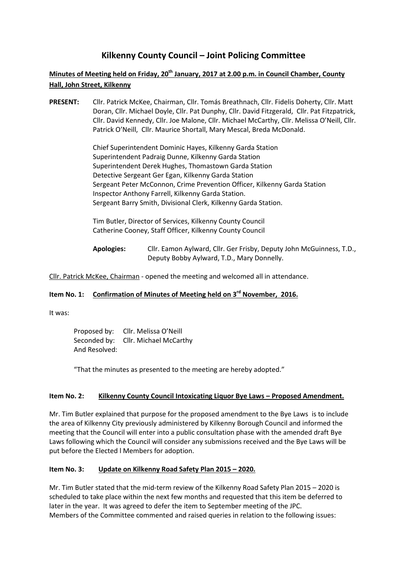# **Kilkenny County Council – Joint Policing Committee**

## **Minutes of Meeting held on Friday, 20th January, 2017 at 2.00 p.m. in Council Chamber, County Hall, John Street, Kilkenny**

**PRESENT:** Cllr. Patrick McKee, Chairman, Cllr. Tomás Breathnach, Cllr. Fidelis Doherty, Cllr. Matt Doran, Cllr. Michael Doyle, Cllr. Pat Dunphy, Cllr. David Fitzgerald, Cllr. Pat Fitzpatrick, Cllr. David Kennedy, Cllr. Joe Malone, Cllr. Michael McCarthy, Cllr. Melissa O'Neill, Cllr. Patrick O'Neill, Cllr. Maurice Shortall, Mary Mescal, Breda McDonald.

> Chief Superintendent Dominic Hayes, Kilkenny Garda Station Superintendent Padraig Dunne, Kilkenny Garda Station Superintendent Derek Hughes, Thomastown Garda Station Detective Sergeant Ger Egan, Kilkenny Garda Station Sergeant Peter McConnon, Crime Prevention Officer, Kilkenny Garda Station Inspector Anthony Farrell, Kilkenny Garda Station. Sergeant Barry Smith, Divisional Clerk, Kilkenny Garda Station.

Tim Butler, Director of Services, Kilkenny County Council Catherine Cooney, Staff Officer, Kilkenny County Council

**Apologies:** Cllr. Eamon Aylward, Cllr. Ger Frisby, Deputy John McGuinness, T.D., Deputy Bobby Aylward, T.D., Mary Donnelly.

Cllr. Patrick McKee, Chairman - opened the meeting and welcomed all in attendance.

## **Item No. 1: Confirmation of Minutes of Meeting held on 3 rd November, 2016.**

It was:

Proposed by: Cllr. Melissa O'Neill Seconded by: Cllr. Michael McCarthy And Resolved:

"That the minutes as presented to the meeting are hereby adopted."

#### **Item No. 2:** Kilkenny County Council Intoxicating Liquor Bye Laws - Proposed Amendment.

Mr. Tim Butler explained that purpose for the proposed amendment to the Bye Laws is to include the area of Kilkenny City previously administered by Kilkenny Borough Council and informed the meeting that the Council will enter into a public consultation phase with the amended draft Bye Laws following which the Council will consider any submissions received and the Bye Laws will be put before the Elected l Members for adoption.

#### **Item No. 3: Update on Kilkenny Road Safety Plan 2015 – 2020.**

Mr. Tim Butler stated that the mid-term review of the Kilkenny Road Safety Plan 2015 – 2020 is scheduled to take place within the next few months and requested that this item be deferred to later in the year. It was agreed to defer the item to September meeting of the JPC. Members of the Committee commented and raised queries in relation to the following issues: